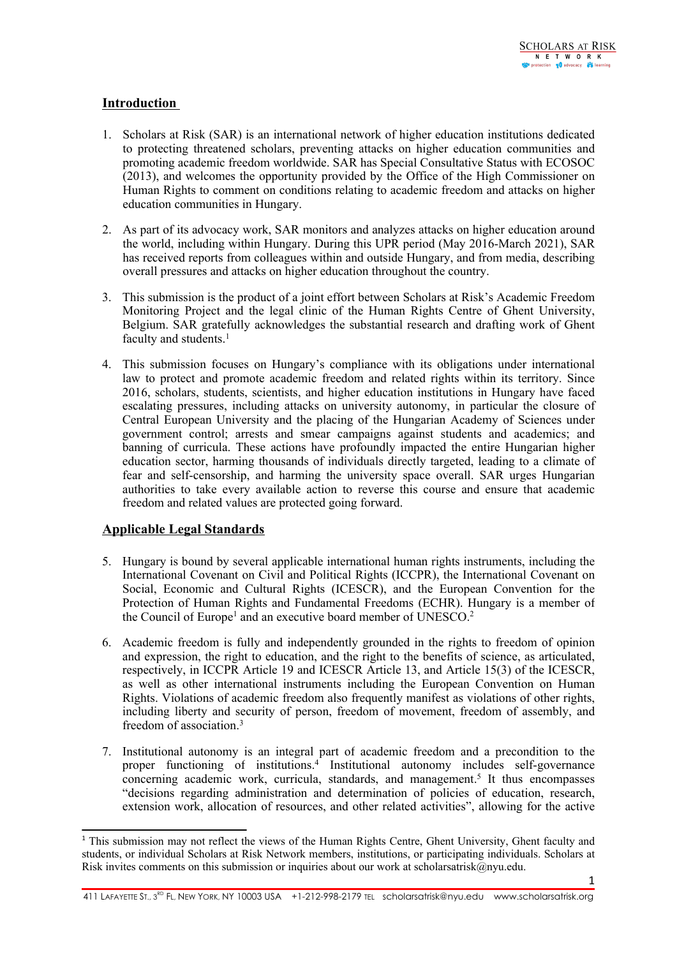# **Introduction**

- 1. Scholars at Risk (SAR) is an international network of higher education institutions dedicated to protecting threatened scholars, preventing attacks on higher education communities and promoting academic freedom worldwide. SAR has Special Consultative Status with ECOSOC (2013), and welcomes the opportunity provided by the Office of the High Commissioner on Human Rights to comment on conditions relating to academic freedom and attacks on higher education communities in Hungary.
- 2. As par<sup>t</sup> of its advocacy work, SAR monitors and analyzes attacks on higher education around the world, including within Hungary. During this UPR period (May 2016-March 2021), SAR has received reports from colleagues within and outside Hungary, and from media, describing overall pressures and attacks on higher education throughout the country.
- 3. This submission is the product of <sup>a</sup> joint effort between Scholars at Risk'<sup>s</sup> Academic Freedom Monitoring Project and the legal clinic of the Human Rights Centre of Ghent University, Belgium. SAR gratefully acknowledges the substantial research and drafting work of Ghent faculty and students. 1
- 4. This submission focuses on Hungary'<sup>s</sup> compliance with its obligations under international law to protect and promote academic freedom and related rights within its territory. Since 2016, scholars, students, scientists, and higher education institutions in Hungary have faced escalating pressures, including attacks on university autonomy, in particular the closure of Central European University and the placing of the Hungarian Academy of Sciences under governmen<sup>t</sup> control; arrests and smear campaigns against students and academics; and banning of curricula. These actions have profoundly impacted the entire Hungarian higher education sector, harming thousands of individuals directly targeted, leading to <sup>a</sup> climate of fear and self-censorship, and harming the university space overall. SAR urges Hungarian authorities to take every available action to reverse this course and ensure that academic freedom and related values are protected going forward.

## **Applicable Legal Standards**

- 5. Hungary is bound by several applicable international human rights instruments, including the International Covenant on Civil and Political Rights (ICCPR), the International Covenant on Social, Economic and Cultural Rights (ICESCR), and the European Convention for the Protection of Human Rights and Fundamental Freedoms (ECHR). Hungary is <sup>a</sup> member of the Council of Europe<sup>1</sup> and an executive board member of UNESCO.<sup>2</sup>
- 6. Academic freedom is fully and independently grounded in the rights to freedom of opinion and expression, the right to education, and the right to the benefits of science, as articulated, respectively, in ICCPR Article 19 and ICESCR Article 13, and Article 15(3) of the ICESCR, as well as other international instruments including the European Convention on Human Rights. Violations of academic freedom also frequently manifest as violations of other rights, including liberty and security of person, freedom of movement, freedom of assembly, and freedom of association.<sup>3</sup>
- 7. Institutional autonomy is an integral par<sup>t</sup> of academic freedom and <sup>a</sup> precondition to the proper functioning of institutions. 4 Institutional autonomy includes self-governance concerning academic work, curricula, standards, and management. 5 It thus encompasses "decisions regarding administration and determination of policies of education, research, extension work, allocation of resources, and other related activities", allowing for the active

411 LAFAYETTE ST., 3<sup>RD</sup> FL, NEW YORK, NY 10003 USA +1-212-998-2179 TEL scholarsatrisk@nyu.edu www.scholarsatrisk.org

<sup>&</sup>lt;sup>1</sup> This submission may not reflect the views of the Human Rights Centre, Ghent University, Ghent faculty and students, or individual Scholars at Risk Network members, institutions, or participating individuals. Scholars at Risk invites comments on this submission or inquiries about our work at scholarsatrisk $@n$ yu.edu.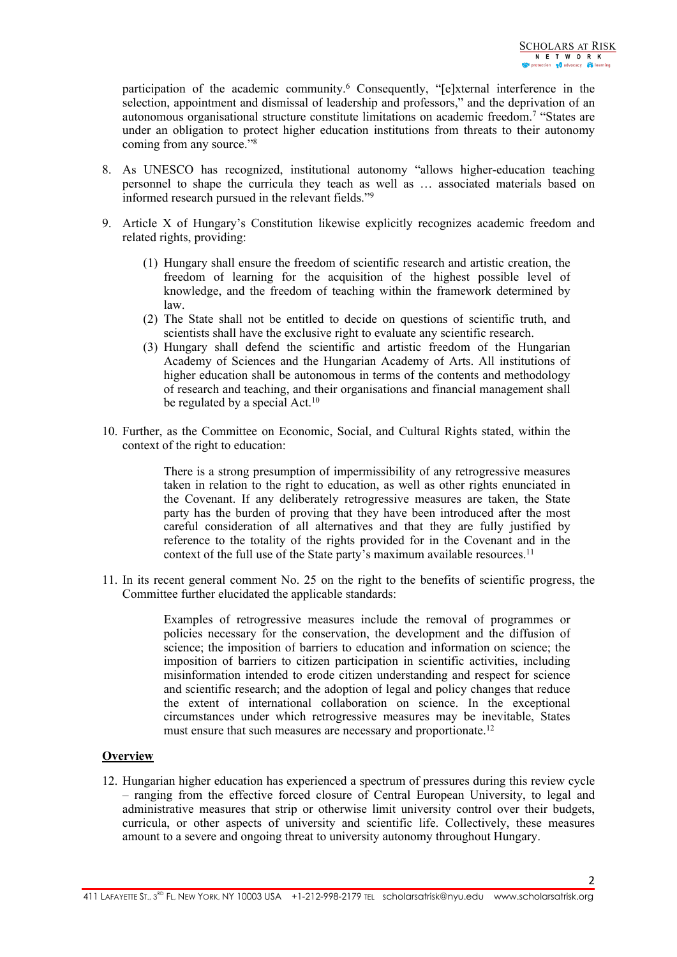participation of the academic community. <sup>6</sup> Consequently, "[e]xternal interference in the selection, appointment and dismissal of leadership and professors," and the deprivation of an autonomous organisational structure constitute limitations on academic freedom.<sup>7</sup> "States are under an obligation to protect higher education institutions from threats to their autonomy coming from any source."<sup>8</sup>

- 8. As UNESCO has recognized, institutional autonomy "allows higher-education teaching personnel to shape the curricula they teach as well as … associated materials based on informed research pursued in the relevant fields."<sup>9</sup>
- 9. Article X of Hungary'<sup>s</sup> Constitution likewise explicitly recognizes academic freedom and related rights, providing:
	- (1) Hungary shall ensure the freedom of scientific research and artistic creation, the freedom of learning for the acquisition of the highest possible level of knowledge, and the freedom of teaching within the framework determined by law.
	- (2) The State shall not be entitled to decide on questions of scientific truth, and scientists shall have the exclusive right to evaluate any scientific research.
	- (3) Hungary shall defend the scientific and artistic freedom of the Hungarian Academy of Sciences and the Hungarian Academy of Arts. All institutions of higher education shall be autonomous in terms of the contents and methodology of research and teaching, and their organisations and financial managemen<sup>t</sup> shall be regulated by a special Act.<sup>10</sup>
- 10. Further, as the Committee on Economic, Social, and Cultural Rights stated, within the context of the right to education:

There is <sup>a</sup> strong presumption of impermissibility of any retrogressive measures taken in relation to the right to education, as well as other rights enunciated in the Covenant. If any deliberately retrogressive measures are taken, the State party has the burden of proving that they have been introduced after the most careful consideration of all alternatives and that they are fully justified by reference to the totality of the rights provided for in the Covenant and in the context of the full use of the State party's maximum available resources.<sup>11</sup>

11. In its recent general comment No. 25 on the right to the benefits of scientific progress, the Committee further elucidated the applicable standards:

> Examples of retrogressive measures include the removal of programmes or policies necessary for the conservation, the development and the diffusion of science; the imposition of barriers to education and information on science; the imposition of barriers to citizen participation in scientific activities, including misinformation intended to erode citizen understanding and respec<sup>t</sup> for science and scientific research; and the adoption of legal and policy changes that reduce the extent of international collaboration on science. In the exceptional circumstances under which retrogressive measures may be inevitable, States must ensure that such measures are necessary and proportionate.<sup>12</sup>

### **Overview**

12. Hungarian higher education has experienced <sup>a</sup> spectrum of pressures during this review cycle – ranging from the effective forced closure of Central European University, to legal and administrative measures that strip or otherwise limit university control over their budgets, curricula, or other aspects of university and scientific life. Collectively, these measures amount to <sup>a</sup> severe and ongoing threat to university autonomy throughout Hungary.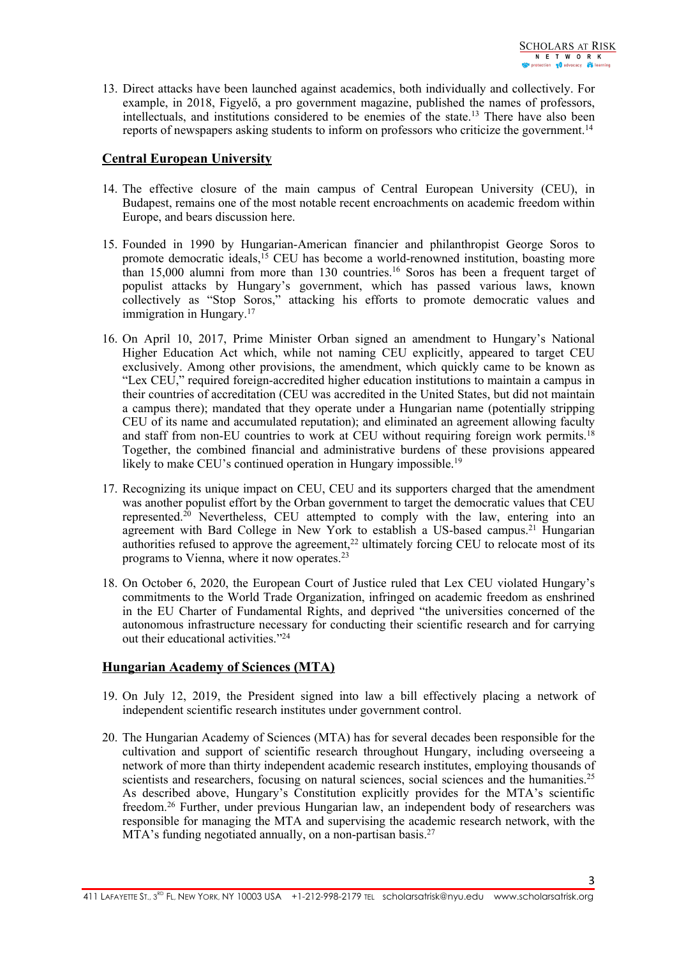13. Direct attacks have been launched against academics, both individually and collectively. For example, in 2018, Figyelő, <sup>a</sup> pro governmen<sup>t</sup> magazine, published the names of professors, intellectuals, and institutions considered to be enemies of the state. 13 There have also been reports of newspapers asking students to inform on professors who criticize the government.<sup>14</sup>

## **Central European University**

- 14. The effective closure of the main campus of Central European University (CEU), in Budapest, remains one of the most notable recent encroachments on academic freedom within Europe, and bears discussion here.
- 15. Founded in 1990 by Hungarian-American financier and philanthropist George Soros to promote democratic ideals, <sup>15</sup> CEU has become <sup>a</sup> world-renowned institution, boasting more than 15,000 alumni from more than 130 countries. 16 Soros has been <sup>a</sup> frequent target of populist attacks by Hungary'<sup>s</sup> government, which has passed various laws, known collectively as "Stop Soros," attacking his efforts to promote democratic values and immigration in Hungary. 17
- 16. On April 10, 2017, Prime Minister Orban signed an amendment to Hungary'<sup>s</sup> National Higher Education Act which, while not naming CEU explicitly, appeared to target CEU exclusively. Among other provisions, the amendment, which quickly came to be known as "Lex CEU," required foreign-accredited higher education institutions to maintain <sup>a</sup> campus in their countries of accreditation (CEU was accredited in the United States, but did not maintain <sup>a</sup> campus there); mandated that they operate under <sup>a</sup> Hungarian name (potentially stripping CEU of its name and accumulated reputation); and eliminated an agreemen<sup>t</sup> allowing faculty and staff from non-EU countries to work at CEU without requiring foreign work permits.<sup>18</sup> Together, the combined financial and administrative burdens of these provisions appeared likely to make CEU's continued operation in Hungary impossible.<sup>19</sup>
- 17. Recognizing its unique impact on CEU, CEU and its supporters charged that the amendment was another populist effort by the Orban governmen<sup>t</sup> to target the democratic values that CEU represented. <sup>20</sup> Nevertheless, CEU attempted to comply with the law, entering into an agreement with Bard College in New York to establish a US-based campus.<sup>21</sup> Hungarian authorities refused to approve the agreement,<sup>22</sup> ultimately forcing CEU to relocate most of its programs to Vienna, where it now operates. 23
- 18. On October 6, 2020, the European Court of Justice ruled that Lex CEU violated Hungary'<sup>s</sup> commitments to the World Trade Organization, infringed on academic freedom as enshrined in the EU Charter of Fundamental Rights, and deprived "the universities concerned of the autonomous infrastructure necessary for conducting their scientific research and for carrying out their educational activities."<sup>24</sup>

## **Hungarian Academy of Sciences (MTA)**

- 19. On July 12, 2019, the President signed into law <sup>a</sup> bill effectively placing <sup>a</sup> network of independent scientific research institutes under governmen<sup>t</sup> control.
- 20. The Hungarian Academy of Sciences (MTA) has for several decades been responsible for the cultivation and suppor<sup>t</sup> of scientific research throughout Hungary, including overseeing <sup>a</sup> network of more than thirty independent academic research institutes, employing thousands of scientists and researchers, focusing on natural sciences, social sciences and the humanities.<sup>25</sup> As described above, Hungary'<sup>s</sup> Constitution explicitly provides for the MTA'<sup>s</sup> scientific freedom. 26 Further, under previous Hungarian law, an independent body of researchers was responsible for managing the MTA and supervising the academic research network, with the MTA's funding negotiated annually, on a non-partisan basis.<sup>27</sup>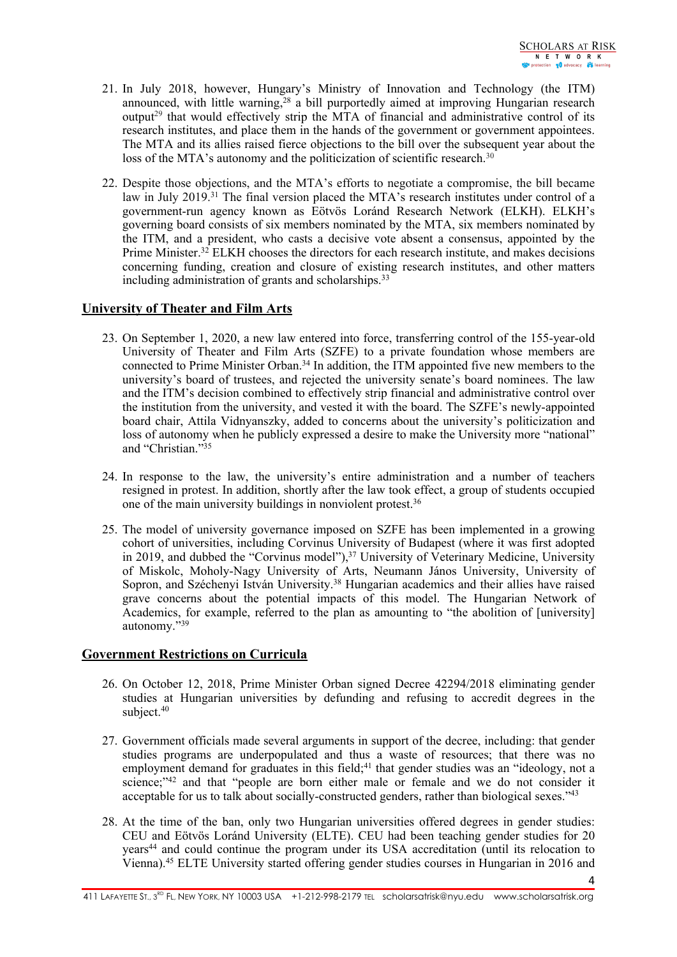$\Delta$ 

- 21. In July 2018, however, Hungary'<sup>s</sup> Ministry of Innovation and Technology (the ITM) announced, with little warning,<sup>28</sup> a bill purportedly aimed at improving Hungarian research output<sup>29</sup> that would effectively strip the MTA of financial and administrative control of its research institutes, and place them in the hands of the governmen<sup>t</sup> or governmen<sup>t</sup> appointees. The MTA and its allies raised fierce objections to the bill over the subsequent year about the loss of the MTA's autonomy and the politicization of scientific research.<sup>30</sup>
- 22. Despite those objections, and the MTA'<sup>s</sup> efforts to negotiate <sup>a</sup> compromise, the bill became law in July 2019.<sup>31</sup> The final version placed the MTA's research institutes under control of a government-run agency known as Eötvös Loránd Research Network (ELKH). ELKH'<sup>s</sup> governing board consists of six members nominated by the MTA, six members nominated by the ITM, and <sup>a</sup> president, who casts <sup>a</sup> decisive vote absent <sup>a</sup> consensus, appointed by the Prime Minister.<sup>32</sup> ELKH chooses the directors for each research institute, and makes decisions concerning funding, creation and closure of existing research institutes, and other matters including administration of grants and scholarships.<sup>33</sup>

## **University of Theater and Film Arts**

- 23. On September 1, 2020, <sup>a</sup> new law entered into force, transferring control of the 155-year-old University of Theater and Film Arts (SZFE) to <sup>a</sup> private foundation whose members are connected to Prime Minister Orban.<sup>34</sup> In addition, the ITM appointed five new members to the university'<sup>s</sup> board of trustees, and rejected the university senate'<sup>s</sup> board nominees. The law and the ITM'<sup>s</sup> decision combined to effectively strip financial and administrative control over the institution from the university, and vested it with the board. The SZFE'<sup>s</sup> newly-appointed board chair, Attila Vidnyanszky, added to concerns about the university'<sup>s</sup> politicization and loss of autonomy when he publicly expressed <sup>a</sup> desire to make the University more "national" and "Christian."<sup>35</sup>
- 24. In response to the law, the university'<sup>s</sup> entire administration and <sup>a</sup> number of teachers resigned in protest. In addition, shortly after the law took effect, <sup>a</sup> group of students occupied one of the main university buildings in nonviolent protest.<sup>36</sup>
- 25. The model of university governance imposed on SZFE has been implemented in <sup>a</sup> growing cohort of universities, including Corvinus University of Budapest (where it was first adopted in 2019, and dubbed the "Corvinus model"), <sup>37</sup> University of Veterinary Medicine, University of Miskolc, Moholy-Nagy University of Arts, Neumann János University, University of Sopron, and Széchenyi István University. <sup>38</sup> Hungarian academics and their allies have raised grave concerns about the potential impacts of this model. The Hungarian Network of Academics, for example, referred to the plan as amounting to "the abolition of [university] autonomy."<sup>39</sup>

## **Government Restrictions on Curricula**

- 26. On October 12, 2018, Prime Minister Orban signed Decree 42294/2018 eliminating gender studies at Hungarian universities by defunding and refusing to accredit degrees in the subject. 40
- 27. Government officials made several arguments in suppor<sup>t</sup> of the decree, including: that gender studies programs are underpopulated and thus a waste of resources; that there was no employment demand for graduates in this field; 41 that gender studies was an "ideology, not <sup>a</sup> science;"<sup>42</sup> and that "people are born either male or female and we do not consider it acceptable for us to talk about socially-constructed genders, rather than biological sexes."<sup>43</sup>
- 28. At the time of the ban, only two Hungarian universities offered degrees in gender studies: CEU and Eötvös Loránd University (ELTE). CEU had been teaching gender studies for 20 years 44 and could continue the program under its USA accreditation (until its relocation to Vienna). 45 ELTE University started offering gender studies courses in Hungarian in 2016 and

411 LAFAYETTE ST., 3<sup>RD</sup> FL, NEW YORK, NY 10003 USA +1-212-998-2179 TEL scholarsatrisk@nyu.edu www.scholarsatrisk.org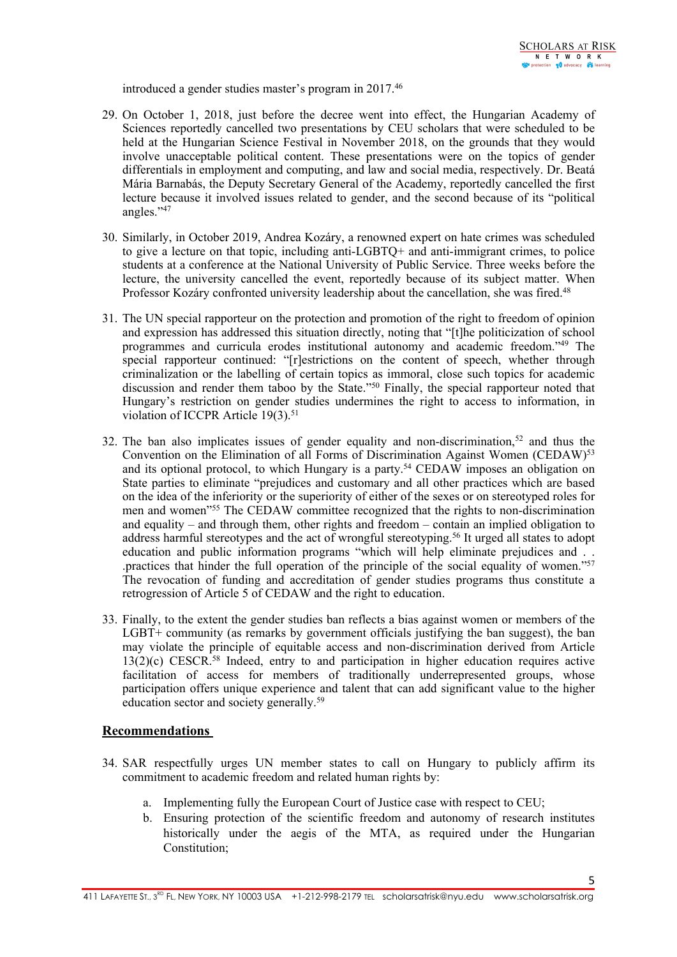introduced <sup>a</sup> gender studies master'<sup>s</sup> program in 2017. 46

- 29. On October 1, 2018, just before the decree went into effect, the Hungarian Academy of Sciences reportedly cancelled two presentations by CEU scholars that were scheduled to be held at the Hungarian Science Festival in November 2018, on the grounds that they would involve unacceptable political content. These presentations were on the topics of gender differentials in employment and computing, and law and social media, respectively. Dr. Beatá Mária Barnabás, the Deputy Secretary General of the Academy, reportedly cancelled the first lecture because it involved issues related to gender, and the second because of its "political angles."<sup>47</sup>
- 30. Similarly, in October 2019, Andrea Kozáry, <sup>a</sup> renowned exper<sup>t</sup> on hate crimes was scheduled to give <sup>a</sup> lecture on that topic, including anti-LGBTQ+ and anti-immigrant crimes, to police students at <sup>a</sup> conference at the National University of Public Service. Three weeks before the lecture, the university cancelled the event, reportedly because of its subject matter. When Professor Kozáry confronted university leadership about the cancellation, she was fired.<sup>48</sup>
- 31. The UN special rapporteur on the protection and promotion of the right to freedom of opinion and expression has addressed this situation directly, noting that "[t]he politicization of school programmes and curricula erodes institutional autonomy and academic freedom."<sup>49</sup> The special rapporteur continued: "[r]estrictions on the content of speech, whether through criminalization or the labelling of certain topics as immoral, close such topics for academic discussion and render them taboo by the State."<sup>50</sup> Finally, the special rapporteur noted that Hungary'<sup>s</sup> restriction on gender studies undermines the right to access to information, in violation of ICCPR Article 19(3).<sup>51</sup>
- 32. The ban also implicates issues of gender equality and non-discrimination,<sup>52</sup> and thus the Convention on the Elimination of all Forms of Discrimination Against Women (CEDAW)<sup>53</sup> and its optional protocol, to which Hungary is <sup>a</sup> party. <sup>54</sup> CEDAW imposes an obligation on State parties to eliminate "prejudices and customary and all other practices which are based on the idea of the inferiority or the superiority of either of the sexes or on stereotyped roles for men and women<sup>155</sup> The CEDAW committee recognized that the rights to non-discrimination and equality – and through them, other rights and freedom – contain an implied obligation to address harmful stereotypes and the act of wrongful stereotyping. 56 It urged all states to adopt education and public information programs "which will help eliminate prejudices and . . practices that hinder the full operation of the principle of the social equality of women."<sup>57</sup> The revocation of funding and accreditation of gender studies programs thus constitute <sup>a</sup> retrogression of Article 5 of CEDAW and the right to education.
- 33. Finally, to the extent the gender studies ban reflects <sup>a</sup> bias against women or members of the LGBT+ community (as remarks by governmen<sup>t</sup> officials justifying the ban suggest), the ban may violate the principle of equitable access and non-discrimination derived from Article 13(2)(c) CESCR. 58 Indeed, entry to and participation in higher education requires active facilitation of access for members of traditionally underrepresented groups, whose participation offers unique experience and talent that can add significant value to the higher education sector and society generally.<sup>59</sup>

## **Recommendations**

- 34. SAR respectfully urges UN member states to call on Hungary to publicly affirm its commitment to academic freedom and related human rights by:
	- a. Implementing fully the European Court of Justice case with respec<sup>t</sup> to CEU;
	- b. Ensuring protection of the scientific freedom and autonomy of research institutes historically under the aegis of the MTA, as required under the Hungarian Constitution;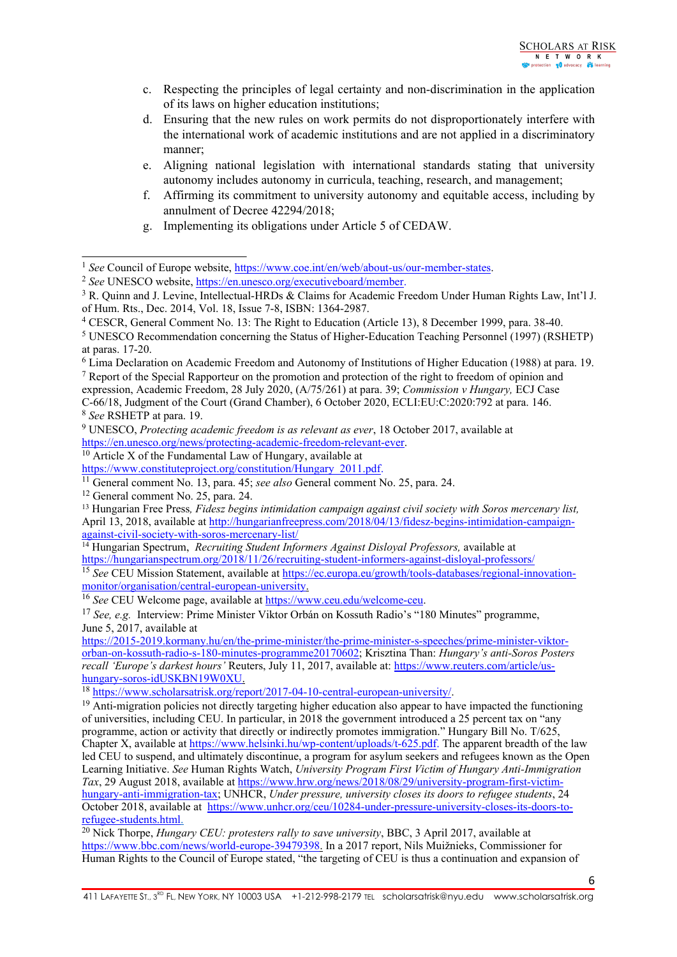- c. Respecting the principles of legal certainty and non-discrimination in the application of its laws on higher education institutions;
- d. Ensuring that the new rules on work permits do not disproportionately interfere with the international work of academic institutions and are not applied in <sup>a</sup> discriminatory manner;
- e. Aligning national legislation with international standards stating that university autonomy includes autonomy in curricula, teaching, research, and management;
- f. Affirming its commitment to university autonomy and equitable access, including by annulment of Decree 42294/2018;
- g. Implementing its obligations under Article 5 of CEDAW.

<sup>&</sup>lt;sup>1</sup> See Council of Europe website, <https://www.coe.int/en/web/about-us/our-member-states>.

<sup>&</sup>lt;sup>2</sup> See UNESCO website, <https://en.unesco.org/executiveboard/member>.

<sup>&</sup>lt;sup>3</sup> R. Quinn and J. Levine, Intellectual-HRDs & Claims for Academic Freedom Under Human Rights Law, Int'l J. of Hum. Rts., Dec. 2014, Vol. 18, Issue 7-8, ISBN: 1364-2987.

<sup>4</sup> CESCR, General Comment No. 13: The Right to Education (Article 13), 8 December 1999, para. 38-40.

<sup>5</sup> UNESCO Recommendation concerning the Status of Higher-Education Teaching Personnel (1997) (RSHETP) at paras. 17-20.

<sup>6</sup> Lima Declaration on Academic Freedom and Autonomy of Institutions of Higher Education (1988) at para. 19.

<sup>7</sup> Report of the Special Rapporteur on the promotion and protection of the right to freedom of opinion and expression, Academic Freedom, 28 July 2020, (A/75/261) at para. 39; *Commission <sup>v</sup> Hungary,* ECJ Case C-66/18, Judgment of the Court (Grand Chamber), 6 October 2020, ECLI:EU:C:2020:792 at para. 146.

<sup>8</sup> *See* RSHETP at para. 19.

<sup>9</sup> UNESCO, *Protecting academic freedom is as relevant as ever*, <sup>18</sup> October 2017, available at <https://en.unesco.org/news/protecting-academic-freedom-relevant-ever>.

 $10$  Article X of the Fundamental Law of Hungary, available at

[https://www.constituteproject.org/constitution/Hungary\\_2011.pdf](https://www.constituteproject.org/constitution/Hungary_2011.pdf).

<sup>11</sup> General comment No. 13, para. 45; *see also* General comment No. 25, para. 24.

<sup>&</sup>lt;sup>12</sup> General comment No. 25, para. 24.

<sup>13</sup> Hungarian Free Press*, Fidesz begins intimidation campaign against civil society with Soros mercenary list,* April 13, 2018, available at [http://hungarianfreepress.com/2018/04/13/fidesz-begins-intimidation-campaign](http://hungarianfreepress.com/2018/04/13/fidesz-begins-intimidation-campaign-against-civil-society-with-soros-mercenary-list/)aga[inst-civil-society-with-soros-mercenary-list/](http://hungarianfreepress.com/2018/04/13/fidesz-begins-intimidation-campaign-against-civil-society-with-soros-mercenary-list/)

<sup>14</sup> Hungarian Spectrum, *Recruiting Student Informers Against Disloyal Professors,* available at <https://hungarianspectrum.org/2018/11/26/recruiting-student-informers-against-disloyal-professors/>

<sup>&</sup>lt;sup>15</sup> See CEU Mission Statement, available at [https://ec.europa.eu/growth/tools-databases/regional-innovation](https://ec.europa.eu/growth/tools-databases/regional-innovation-monitor/organisation/central-european-university)[monitor/organisation/central-european-university](https://ec.europa.eu/growth/tools-databases/regional-innovation-monitor/organisation/central-european-university).

<sup>&</sup>lt;sup>16</sup> See CEU Welcome page, available at <https://www.ceu.edu/welcome-ceu>.

<sup>17</sup> *See, e.g.* Interview: Prime Minister Viktor Orbán on Kossuth Radio'<sup>s</sup> "180 Minutes" programme, June 5, 2017, available at

[https://2015-2019.kormany.hu/en/the-prime-minister/the-prime-minister-s-speeches/prime-minister-viktor](https://2015-2019.kormany.hu/en/the-prime-minister/the-prime-minister-s-speeches/prime-minister-viktor-orban-on-kossuth-radio-s-180-minutes-programme20170602)[orban-on-kossuth-radio-s-180-minutes-programme20170602](https://2015-2019.kormany.hu/en/the-prime-minister/the-prime-minister-s-speeches/prime-minister-viktor-orban-on-kossuth-radio-s-180-minutes-programme20170602); Krisztina Than: *Hungary'<sup>s</sup> anti-Soros Posters recall 'Europe'<sup>s</sup> darkest hours'* Reuters, July 11, 2017, available at: [https://www.reuters.com/article/us](https://www.reuters.com/article/us-hungary-soros-idUSKBN19W0XU)[hungary-soros-idUSKBN19W0XU](https://www.reuters.com/article/us-hungary-soros-idUSKBN19W0XU).

<sup>&</sup>lt;sup>18</sup> <https://www.scholarsatrisk.org/report/2017-04-10-central-european-university/>.

<sup>&</sup>lt;sup>19</sup> Anti-migration policies not directly targeting higher education also appear to have impacted the functioning of universities, including CEU. In particular, in 2018 the governmen<sup>t</sup> introduced <sup>a</sup> 25 percen<sup>t</sup> tax on "any programme, action or activity that directly or indirectly promotes immigration." Hungary Bill No. T/625, Chapter X, available at <https://www.helsinki.hu/wp-content/uploads/t-625.pdf>. The apparen<sup>t</sup> breadth of the law led CEU to suspend, and ultimately discontinue, <sup>a</sup> program for asylum seekers and refugees known as the Open Learning Initiative. *See* Human Rights Watch, *University Program First Victim of Hungary Anti-Immigration Tax*, 29 August 2018, available at [https://www.hrw.org/news/2018/08/29/university-program-first-victim](https://www.hrw.org/news/2018/08/29/university-program-first-victim-hungary-anti-immigration-tax)[hungary-anti-immigration-tax](https://www.hrw.org/news/2018/08/29/university-program-first-victim-hungary-anti-immigration-tax); UNHCR, *Under pressure, university closes its doors to refugee students*, 24 October 2018, available at [https://www.unhcr.org/ceu/10284-under-pressure-university-closes-its-doors-to](https://www.unhcr.org/ceu/10284-under-pressure-university-closes-its-doors-to-refugee-students.html)[refugee-students.html](https://www.unhcr.org/ceu/10284-under-pressure-university-closes-its-doors-to-refugee-students.html).

<sup>20</sup> Nick Thorpe, *Hungary CEU: protesters rally to save university*, BBC, <sup>3</sup> April 2017, available at <https://www.bbc.com/news/world-europe-39479398>. In <sup>a</sup> 2017 report, Nils Muižnieks, Commissioner for Human Rights to the Council of Europe stated, "the targeting of CEU is thus <sup>a</sup> continuation and expansion of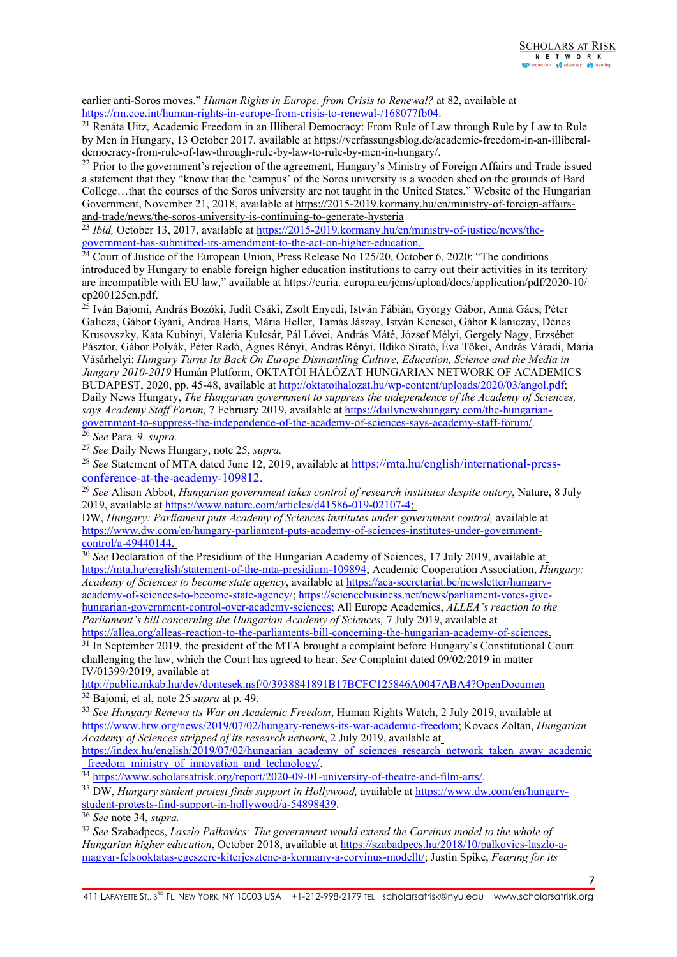earlier anti-Soros moves." *Human Rights in Europe, from Crisis to Renewal?* at 82, available at <https://rm.coe.int/human-rights-in-europe-from-crisis-to-renewal-/168077fb04>.

<sup>21</sup> Renáta Uitz, Academic Freedom in an Illiberal Democracy: From Rule of Law through Rule by Law to Rule by Men in Hungary, 13 October 2017, available at [https://verfassungsblog.de/academic-freedom-in-an-illiberal](https://verfassungsblog.de/academic-freedom-in-an-illiberal-democracy-from-rule-of-law-through-rule-by-law-to-rule-by-men-in-hungary/)[democracy-from-rule-of-law-through-rule-by-law-to-rule-by-men-in-hungary/](https://verfassungsblog.de/academic-freedom-in-an-illiberal-democracy-from-rule-of-law-through-rule-by-law-to-rule-by-men-in-hungary/).

<sup>22</sup> Prior to the government's rejection of the agreement, Hungary's Ministry of Foreign Affairs and Trade issued <sup>a</sup> statement that they "know that the 'campus' of the Soros university is <sup>a</sup> wooden shed on the grounds of Bard College…that the courses of the Soros university are not taught in the United States." Website of the Hungarian Government, November 21, 2018, available at [https://2015-2019.kormany.hu/en/ministry-of-foreign-affairs](https://2015-2019.kormany.hu/en/ministry-of-foreign-affairs-and-trade/news/the-soros-university-is-continuing-to-generate-hysteria)[and-trade/news/the-soros-university-is-continuing-to-generate-hysteria](https://2015-2019.kormany.hu/en/ministry-of-foreign-affairs-and-trade/news/the-soros-university-is-continuing-to-generate-hysteria)

<sup>23</sup> *Ibid*, October 13, 2017, available at [https://2015-2019.kormany.hu/en/ministry-of-justice/news/the-](https://2015-2019.kormany.hu/en/ministry-of-justice/news/the-government-has-submitted-its-amendment-to-the-act-on-higher-education)

governmen[t-has-submitted-its-amendment-to-the-act-on-higher-education](https://2015-2019.kormany.hu/en/ministry-of-justice/news/the-government-has-submitted-its-amendment-to-the-act-on-higher-education).<br><sup>24</sup> Court of Justice of the European Union, Press Release No 125/20, October 6, 2020: "The conditions introduced by Hungary to enable foreign higher education institutions to carry out their activities in its territory are incompatible with EU law," available at https://curia. europa.eu/jcms/upload/docs/application/pdf/2020-10/ cp200125en.pdf.

<sup>25</sup> Iván Bajomi, András Bozóki, Judit Csáki, Zsolt Enyedi, István Fábián, György Gábor, Anna Gács, Péter Galicza, Gábor Gyáni, Andrea Haris, Mária Heller, Tamás Jászay, István Kenesei, Gábor Klaniczay, Dénes Krusovszky, Kata Kubínyi, Valéria Kulcsár, Pál Lővei, András Máté, József Mélyi, Gergely Nagy, Erzsébet Pásztor, Gábor Polyák, Péter Radó, Ágnes Rényi, András Rényi, Ildikó Sirató, Éva <sup>T</sup>őkei, András Váradi, Mária Vásárhelyi: *Hungary Turns Its Back On Europe Dismantling Culture, Education, Science and the Media in Jungary 2010-2019* Humán Platform, OKTATÓI HÁLÓZAT HUNGARIAN NETWORK OF ACADEMICS BUDAPEST, 2020, pp. 45-48, available at <http://oktatoihalozat.hu/wp-content/uploads/2020/03/angol.pdf>; Daily News Hungary, *The Hungarian governmen<sup>t</sup> to suppress the independence of the Academy of Sciences, says Academy Staff Forum,* 7 February 2019, available at [https://dailynewshungary.com/the-hungarian](https://dailynewshungary.com/the-hungarian-government-to-suppress-the-independence-of-the-academy-of-sciences-says-academy-staff-forum/)governmen[t-to-suppress-the-independence-of-the-academy-of-sciences-says-academy-staff-forum/](https://dailynewshungary.com/the-hungarian-government-to-suppress-the-independence-of-the-academy-of-sciences-says-academy-staff-forum/).

26 *See* Para. 9*, supra.*

27 *See* Daily News Hungary, note 25, *supra.*

<sup>28</sup> See Statement of MTA dated June 12, 2019, available at [https://mta.hu/english/international-press-](https://mta.hu/english/international-press-conference-at-the-academy-109812)

[conference-at-the-academy-109812](https://mta.hu/english/international-press-conference-at-the-academy-109812). 29 *See* Alison Abbot, *Hungarian governmen<sup>t</sup> takes control of research institutes despite outcry*, Nature, 8 July 2019, available at <https://www.nature.com/articles/d41586-019-02107-4>;

DW, *Hungary: Parliament puts Academy of Sciences institutes under governmen<sup>t</sup> control,* available at [https://www.dw.com/en/hungary-parliament-puts-academy-of-sciences-institutes-under-government](https://www.dw.com/en/hungary-parliament-puts-academy-of-sciences-institutes-under-government-control/a-49440144)[control/a-49440144](https://www.dw.com/en/hungary-parliament-puts-academy-of-sciences-institutes-under-government-control/a-49440144).

30 *See* Declaration of the Presidium of the Hungarian Academy of Sciences, 17 July 2019, available at <https://mta.hu/english/statement-of-the-mta-presidium-109894>; Academic Cooperation Association, *Hungary: Academy of Sciences to become state agency*, available at [https://aca-secretariat.be/newsletter/hungary](https://aca-secretariat.be/newsletter/hungary-academy-of-sciences-to-become-state-agency/)[academy-of-sciences-to-become-state-agency/](https://aca-secretariat.be/newsletter/hungary-academy-of-sciences-to-become-state-agency/); [https://sciencebusiness.net/news/parliament-votes-give](https://sciencebusiness.net/news/parliament-votes-give-hungarian-government-control-over-academy-sciences)[hungarian-government-control-over-academy-sciences](https://sciencebusiness.net/news/parliament-votes-give-hungarian-government-control-over-academy-sciences); All Europe Academies, *ALLEA'<sup>s</sup> reaction to the Parliament'<sup>s</sup> bill concerning the Hungarian Academy of Sciences,* 7 July 2019, available at [https://allea.org/alleas-reaction-to-the-parliaments-bill-concerning-the-hungarian-academy-of-sciences](https://allea.org/alleas-reaction-to-the-parliaments-bill-concerning-the-hungarian-academy-of-sciences/).

<sup>31</sup> In September 2019, the president of the MTA brought a complaint before Hungary's Constitutional Court challenging the law, which the Court has agreed to hear. *See* Complaint dated 09/02/2019 in matter IV/01399/2019, available at

<http://public.mkab.hu/dev/dontesek.nsf/0/3938841891B17BCFC125846A0047ABA4?OpenDocumen> 32 Bajomi, et al, note 25 *supra* at p. 49.

33 *See Hungary Renews its War on Academic Freedom*, Human Rights Watch, 2 July 2019, available at <https://www.hrw.org/news/2019/07/02/hungary-renews-its-war-academic-freedom>; Kovacs Zoltan, *Hungarian Academy of Sciences stripped of its research network*, 2 July 2019, available at

[https://index.hu/english/2019/07/02/hungarian\\_academy\\_of\\_sciences\\_research\\_network\\_taken\\_away\\_academic](https://index.hu/english/2019/07/02/hungarian_academy_of_sciences_research_network_taken_away_academic_freedom_ministry_of_innovation_and_technology/) [freedom\\_ministry\\_of\\_innovation\\_and\\_technology/](https://index.hu/english/2019/07/02/hungarian_academy_of_sciences_research_network_taken_away_academic_freedom_ministry_of_innovation_and_technology/).

<sup>34</sup> <https://www.scholarsatrisk.org/report/2020-09-01-university-of-theatre-and-film-arts/>.

<sup>35</sup> DW, *Hungary student protest finds suppor<sup>t</sup> in Hollywood,* available at [https://www.dw.com/en/hungary](https://www.dw.com/en/hungary-student-protests-find-support-in-hollywood/a-54898439)[student-protests-find-support-in-hollywood/a-54898439](https://www.dw.com/en/hungary-student-protests-find-support-in-hollywood/a-54898439).

36 *See* note 34, *supra.*

37 *See* Szabadpecs, *Laszlo Palkovics: The governmen<sup>t</sup> would extend the Corvinus model to the whole of Hungarian higher education*, October 2018, available at [https://szabadpecs.hu/2018/10/palkovics-laszlo-a](https://szabadpecs.hu/2018/10/palkovics-laszlo-a-magyar-felsooktatas-egeszere-kiterjesztene-a-kormany-a-corvinus-modellt/)magyar-[felsooktatas-egeszere-kiterjesztene-a-kormany-a-corvinus-modellt/](https://szabadpecs.hu/2018/10/palkovics-laszlo-a-magyar-felsooktatas-egeszere-kiterjesztene-a-kormany-a-corvinus-modellt/); Justin Spike, *Fearing for its*

411 LAFAYETTE ST., 3<sup>RD</sup> FL, NEW YORK, NY 10003 USA +1-212-998-2179 TEL scholarsatrisk@nyu.edu www.scholarsatrisk.org